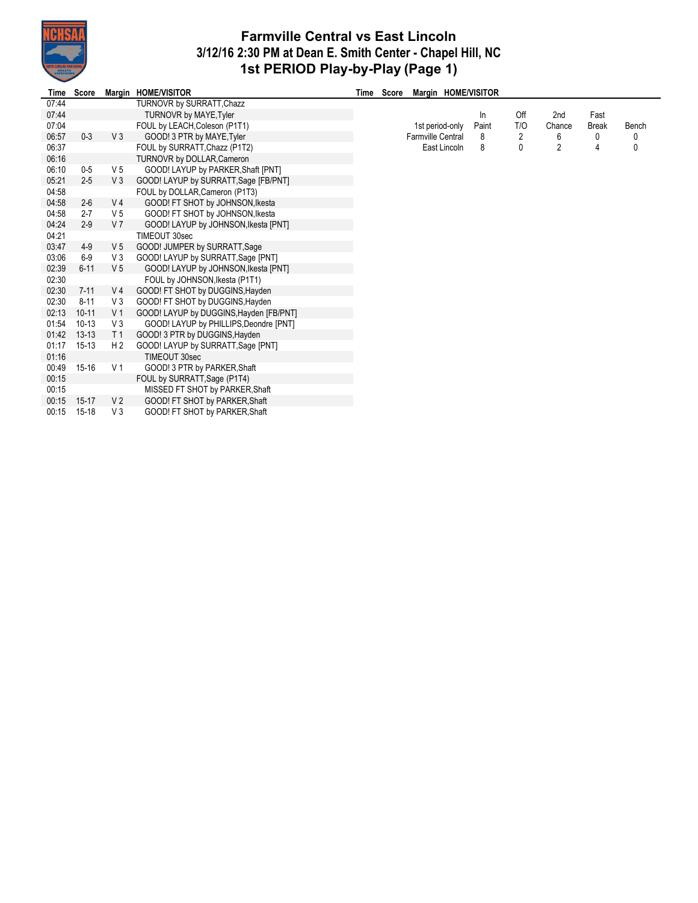

## **Farmville Central vs East Lincoln 3/12/16 2:30 PM at Dean E. Smith Center - Chapel Hill, NC 1st PERIOD Play-by-Play (Page 1)**

| Time  | Score     |                | Margin HOME/VISITOR                     | Time Score |                   |              | Margin HOME/VISITOR |              |                |              |       |
|-------|-----------|----------------|-----------------------------------------|------------|-------------------|--------------|---------------------|--------------|----------------|--------------|-------|
| 07:44 |           |                | TURNOVR by SURRATT, Chazz               |            |                   |              |                     |              |                |              |       |
| 07:44 |           |                | <b>TURNOVR by MAYE, Tyler</b>           |            |                   |              | In                  | Off          | 2nd            | Fast         |       |
| 07:04 |           |                | FOUL by LEACH, Coleson (P1T1)           |            | 1st period-only   |              | Paint               | T/O          | Chance         | <b>Break</b> | Bench |
| 06:57 | $0 - 3$   | V3             | GOOD! 3 PTR by MAYE, Tyler              |            | Farmville Central |              | 8                   | 2            | 6              | 0            | 0     |
| 06:37 |           |                | FOUL by SURRATT, Chazz (P1T2)           |            |                   | East Lincoln | 8                   | $\mathbf{0}$ | $\overline{c}$ | 4            | 0     |
| 06:16 |           |                | TURNOVR by DOLLAR, Cameron              |            |                   |              |                     |              |                |              |       |
| 06:10 | $0-5$     | V 5            | GOOD! LAYUP by PARKER, Shaft [PNT]      |            |                   |              |                     |              |                |              |       |
| 05:21 | $2 - 5$   | V3             | GOOD! LAYUP by SURRATT, Sage [FB/PNT]   |            |                   |              |                     |              |                |              |       |
| 04:58 |           |                | FOUL by DOLLAR, Cameron (P1T3)          |            |                   |              |                     |              |                |              |       |
| 04:58 | $2-6$     | V <sub>4</sub> | GOOD! FT SHOT by JOHNSON, Ikesta        |            |                   |              |                     |              |                |              |       |
| 04:58 | $2 - 7$   | V 5            | GOOD! FT SHOT by JOHNSON, Ikesta        |            |                   |              |                     |              |                |              |       |
| 04:24 | $2 - 9$   | V <sub>7</sub> | GOOD! LAYUP by JOHNSON, Ikesta [PNT]    |            |                   |              |                     |              |                |              |       |
| 04:21 |           |                | TIMEOUT 30sec                           |            |                   |              |                     |              |                |              |       |
| 03:47 | $4-9$     | V <sub>5</sub> | GOOD! JUMPER by SURRATT, Sage           |            |                   |              |                     |              |                |              |       |
| 03:06 | $6-9$     | V3             | GOOD! LAYUP by SURRATT, Sage [PNT]      |            |                   |              |                     |              |                |              |       |
| 02:39 | $6 - 11$  | V <sub>5</sub> | GOOD! LAYUP by JOHNSON, Ikesta [PNT]    |            |                   |              |                     |              |                |              |       |
| 02:30 |           |                | FOUL by JOHNSON, Ikesta (P1T1)          |            |                   |              |                     |              |                |              |       |
| 02:30 | $7 - 11$  | V <sub>4</sub> | GOOD! FT SHOT by DUGGINS, Hayden        |            |                   |              |                     |              |                |              |       |
| 02:30 | $8 - 11$  | V <sub>3</sub> | GOOD! FT SHOT by DUGGINS, Hayden        |            |                   |              |                     |              |                |              |       |
| 02:13 | $10 - 11$ | V <sub>1</sub> | GOOD! LAYUP by DUGGINS, Hayden [FB/PNT] |            |                   |              |                     |              |                |              |       |
| 01:54 | $10-13$   | V <sub>3</sub> | GOOD! LAYUP by PHILLIPS, Deondre [PNT]  |            |                   |              |                     |              |                |              |       |
| 01:42 | $13 - 13$ | T <sub>1</sub> | GOOD! 3 PTR by DUGGINS, Hayden          |            |                   |              |                     |              |                |              |       |
| 01:17 | $15 - 13$ | H <sub>2</sub> | GOOD! LAYUP by SURRATT, Sage [PNT]      |            |                   |              |                     |              |                |              |       |
| 01:16 |           |                | TIMEOUT 30sec                           |            |                   |              |                     |              |                |              |       |
| 00:49 | $15 - 16$ | V <sub>1</sub> | GOOD! 3 PTR by PARKER, Shaft            |            |                   |              |                     |              |                |              |       |
| 00:15 |           |                | FOUL by SURRATT, Sage (P1T4)            |            |                   |              |                     |              |                |              |       |
| 00:15 |           |                | MISSED FT SHOT by PARKER, Shaft         |            |                   |              |                     |              |                |              |       |
| 00:15 | $15-17$   | V <sub>2</sub> | GOOD! FT SHOT by PARKER, Shaft          |            |                   |              |                     |              |                |              |       |
| 00:15 | $15 - 18$ | V3             | GOOD! FT SHOT by PARKER, Shaft          |            |                   |              |                     |              |                |              |       |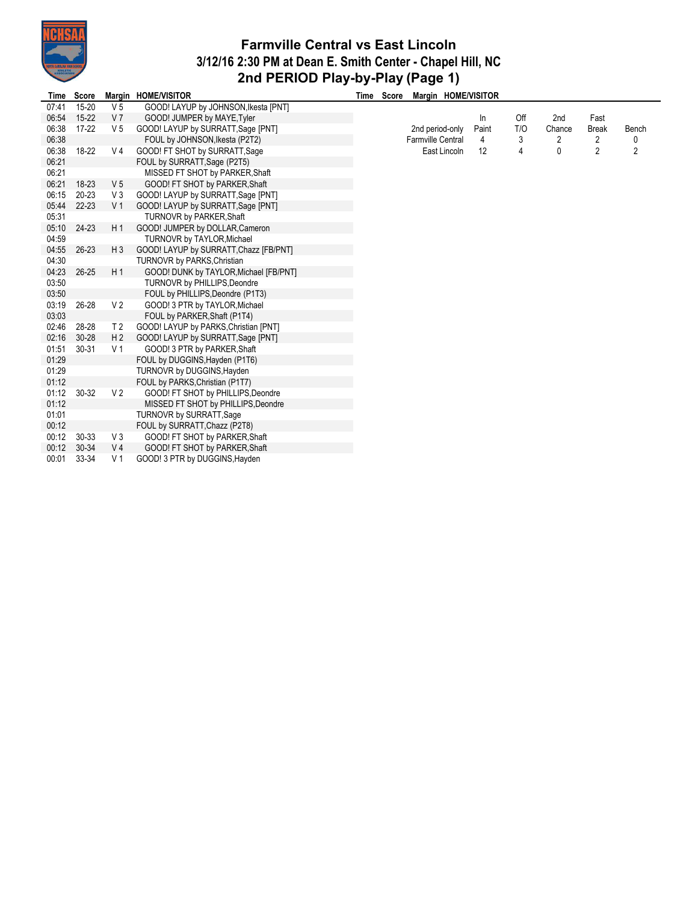

## **Farmville Central vs East Lincoln 3/12/16 2:30 PM at Dean E. Smith Center - Chapel Hill, NC 2nd PERIOD Play-by-Play (Page 1)**

| Time  | Score     |                | Margin HOME/VISITOR                    | Time Score | Margin HOME/VISITOR |       |     |        |                |                |
|-------|-----------|----------------|----------------------------------------|------------|---------------------|-------|-----|--------|----------------|----------------|
| 07:41 | 15-20     | V <sub>5</sub> | GOOD! LAYUP by JOHNSON, Ikesta [PNT]   |            |                     |       |     |        |                |                |
| 06:54 | $15 - 22$ | V <sub>7</sub> | GOOD! JUMPER by MAYE, Tyler            |            |                     | In    | Off | 2nd    | Fast           |                |
| 06:38 | 17-22     | V <sub>5</sub> | GOOD! LAYUP by SURRATT, Sage [PNT]     |            | 2nd period-only     | Paint | T/O | Chance | <b>Break</b>   | Bench          |
| 06:38 |           |                | FOUL by JOHNSON, Ikesta (P2T2)         |            | Farmville Central   | 4     | 3   | 2      | 2              | 0              |
| 06:38 | $18-22$   | V <sub>4</sub> | GOOD! FT SHOT by SURRATT, Sage         |            | East Lincoln        | 12    | 4   | 0      | $\overline{2}$ | $\overline{2}$ |
| 06:21 |           |                | FOUL by SURRATT, Sage (P2T5)           |            |                     |       |     |        |                |                |
| 06:21 |           |                | MISSED FT SHOT by PARKER, Shaft        |            |                     |       |     |        |                |                |
| 06:21 | $18-23$   | V <sub>5</sub> | GOOD! FT SHOT by PARKER, Shaft         |            |                     |       |     |        |                |                |
| 06:15 | $20 - 23$ | V3             | GOOD! LAYUP by SURRATT, Sage [PNT]     |            |                     |       |     |        |                |                |
| 05:44 | $22 - 23$ | V <sub>1</sub> | GOOD! LAYUP by SURRATT, Sage [PNT]     |            |                     |       |     |        |                |                |
| 05:31 |           |                | <b>TURNOVR by PARKER, Shaft</b>        |            |                     |       |     |        |                |                |
| 05:10 | 24-23     | H <sub>1</sub> | GOOD! JUMPER by DOLLAR, Cameron        |            |                     |       |     |        |                |                |
| 04:59 |           |                | TURNOVR by TAYLOR, Michael             |            |                     |       |     |        |                |                |
| 04:55 | 26-23     | $H_3$          | GOOD! LAYUP by SURRATT, Chazz [FB/PNT] |            |                     |       |     |        |                |                |
| 04:30 |           |                | TURNOVR by PARKS, Christian            |            |                     |       |     |        |                |                |
| 04:23 | $26 - 25$ | H <sub>1</sub> | GOOD! DUNK by TAYLOR, Michael [FB/PNT] |            |                     |       |     |        |                |                |
| 03:50 |           |                | <b>TURNOVR by PHILLIPS, Deondre</b>    |            |                     |       |     |        |                |                |
| 03:50 |           |                | FOUL by PHILLIPS, Deondre (P1T3)       |            |                     |       |     |        |                |                |
| 03:19 | $26 - 28$ | V <sub>2</sub> | GOOD! 3 PTR by TAYLOR, Michael         |            |                     |       |     |        |                |                |
| 03:03 |           |                | FOUL by PARKER, Shaft (P1T4)           |            |                     |       |     |        |                |                |
| 02:46 | 28-28     | T <sub>2</sub> | GOOD! LAYUP by PARKS, Christian [PNT]  |            |                     |       |     |        |                |                |
| 02:16 | $30 - 28$ | H <sub>2</sub> | GOOD! LAYUP by SURRATT, Sage [PNT]     |            |                     |       |     |        |                |                |
| 01:51 | $30 - 31$ | V 1            | GOOD! 3 PTR by PARKER, Shaft           |            |                     |       |     |        |                |                |
| 01:29 |           |                | FOUL by DUGGINS, Hayden (P1T6)         |            |                     |       |     |        |                |                |
| 01:29 |           |                | TURNOVR by DUGGINS, Hayden             |            |                     |       |     |        |                |                |
| 01:12 |           |                | FOUL by PARKS, Christian (P1T7)        |            |                     |       |     |        |                |                |
| 01:12 | $30 - 32$ | V <sub>2</sub> | GOOD! FT SHOT by PHILLIPS, Deondre     |            |                     |       |     |        |                |                |
| 01:12 |           |                | MISSED FT SHOT by PHILLIPS, Deondre    |            |                     |       |     |        |                |                |
| 01:01 |           |                | <b>TURNOVR by SURRATT, Sage</b>        |            |                     |       |     |        |                |                |
| 00:12 |           |                | FOUL by SURRATT, Chazz (P2T8)          |            |                     |       |     |        |                |                |
| 00:12 | $30 - 33$ | V3             | GOOD! FT SHOT by PARKER, Shaft         |            |                     |       |     |        |                |                |
| 00:12 | $30-34$   | V <sub>4</sub> | GOOD! FT SHOT by PARKER, Shaft         |            |                     |       |     |        |                |                |
| 00:01 | 33-34     | V <sub>1</sub> | GOOD! 3 PTR by DUGGINS, Hayden         |            |                     |       |     |        |                |                |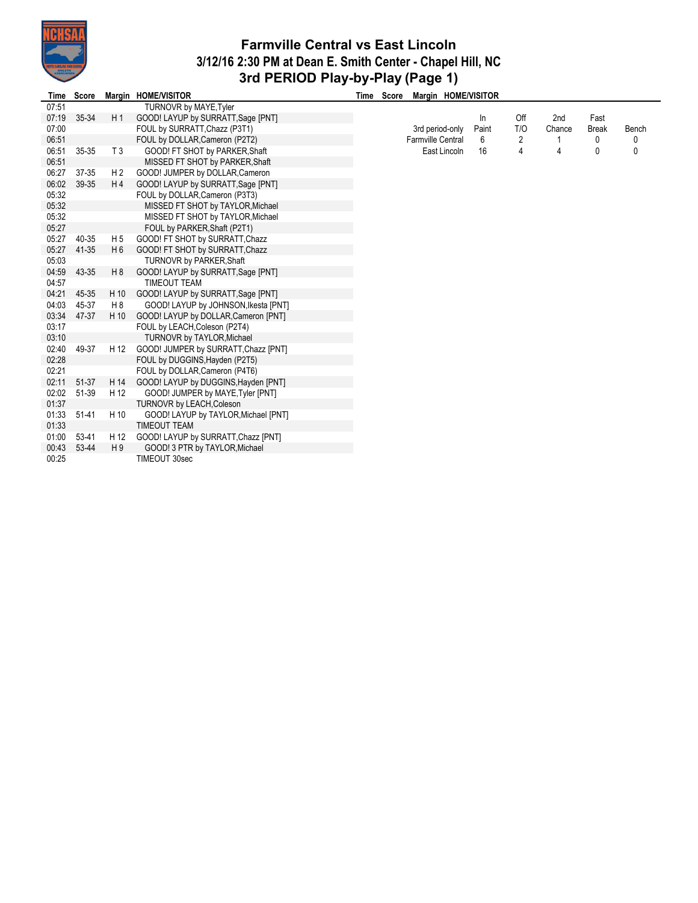

## **Farmville Central vs East Lincoln 3/12/16 2:30 PM at Dean E. Smith Center - Chapel Hill, NC 3rd PERIOD Play-by-Play (Page 1)**

| Time  | <b>Score</b> |                | Margin HOME/VISITOR                  | Time | Score | Margin HOME/VISITOR      |       |     |        |              |       |
|-------|--------------|----------------|--------------------------------------|------|-------|--------------------------|-------|-----|--------|--------------|-------|
| 07:51 |              |                | TURNOVR by MAYE, Tyler               |      |       |                          |       |     |        |              |       |
| 07:19 | 35-34        | H <sub>1</sub> | GOOD! LAYUP by SURRATT, Sage [PNT]   |      |       |                          | In    | Off | 2nd    | Fast         |       |
| 07:00 |              |                | FOUL by SURRATT, Chazz (P3T1)        |      |       | 3rd period-only          | Paint | T/O | Chance | <b>Break</b> | Bench |
| 06:51 |              |                | FOUL by DOLLAR, Cameron (P2T2)       |      |       | <b>Farmville Central</b> | 6     | 2   |        | 0            | 0     |
| 06:51 | 35-35        | T <sub>3</sub> | GOOD! FT SHOT by PARKER, Shaft       |      |       | East Lincoln             | 16    | 4   | 4      | 0            | 0     |
| 06:51 |              |                | MISSED FT SHOT by PARKER, Shaft      |      |       |                          |       |     |        |              |       |
| 06:27 | 37-35        | H <sub>2</sub> | GOOD! JUMPER by DOLLAR, Cameron      |      |       |                          |       |     |        |              |       |
| 06:02 | 39-35        | H <sub>4</sub> | GOOD! LAYUP by SURRATT, Sage [PNT]   |      |       |                          |       |     |        |              |       |
| 05:32 |              |                | FOUL by DOLLAR, Cameron (P3T3)       |      |       |                          |       |     |        |              |       |
| 05:32 |              |                | MISSED FT SHOT by TAYLOR, Michael    |      |       |                          |       |     |        |              |       |
| 05:32 |              |                | MISSED FT SHOT by TAYLOR, Michael    |      |       |                          |       |     |        |              |       |
| 05:27 |              |                | FOUL by PARKER, Shaft (P2T1)         |      |       |                          |       |     |        |              |       |
| 05:27 | 40-35        | H <sub>5</sub> | GOOD! FT SHOT by SURRATT, Chazz      |      |       |                          |       |     |        |              |       |
| 05:27 | 41-35        | H <sub>6</sub> | GOOD! FT SHOT by SURRATT, Chazz      |      |       |                          |       |     |        |              |       |
| 05:03 |              |                | TURNOVR by PARKER, Shaft             |      |       |                          |       |     |        |              |       |
| 04:59 | 43-35        | H <sub>8</sub> | GOOD! LAYUP by SURRATT, Sage [PNT]   |      |       |                          |       |     |        |              |       |
| 04:57 |              |                | <b>TIMEOUT TEAM</b>                  |      |       |                          |       |     |        |              |       |
| 04:21 | 45-35        | H 10           | GOOD! LAYUP by SURRATT, Sage [PNT]   |      |       |                          |       |     |        |              |       |
| 04:03 | 45-37        | H8             | GOOD! LAYUP by JOHNSON, Ikesta [PNT] |      |       |                          |       |     |        |              |       |
| 03:34 | 47-37        | H 10           | GOOD! LAYUP by DOLLAR, Cameron [PNT] |      |       |                          |       |     |        |              |       |
| 03:17 |              |                | FOUL by LEACH, Coleson (P2T4)        |      |       |                          |       |     |        |              |       |
| 03:10 |              |                | TURNOVR by TAYLOR, Michael           |      |       |                          |       |     |        |              |       |
| 02:40 | 49-37        | H 12           | GOOD! JUMPER by SURRATT, Chazz [PNT] |      |       |                          |       |     |        |              |       |
| 02:28 |              |                | FOUL by DUGGINS, Hayden (P2T5)       |      |       |                          |       |     |        |              |       |
| 02:21 |              |                | FOUL by DOLLAR, Cameron (P4T6)       |      |       |                          |       |     |        |              |       |
| 02:11 | 51-37        | H 14           | GOOD! LAYUP by DUGGINS, Hayden [PNT] |      |       |                          |       |     |        |              |       |
| 02:02 | 51-39        | H 12           | GOOD! JUMPER by MAYE, Tyler [PNT]    |      |       |                          |       |     |        |              |       |
| 01:37 |              |                | TURNOVR by LEACH, Coleson            |      |       |                          |       |     |        |              |       |
| 01:33 | 51-41        | H 10           | GOOD! LAYUP by TAYLOR, Michael [PNT] |      |       |                          |       |     |        |              |       |
| 01:33 |              |                | <b>TIMEOUT TEAM</b>                  |      |       |                          |       |     |        |              |       |
| 01:00 | 53-41        | H 12           | GOOD! LAYUP by SURRATT, Chazz [PNT]  |      |       |                          |       |     |        |              |       |
| 00:43 | 53-44        | H9             | GOOD! 3 PTR by TAYLOR, Michael       |      |       |                          |       |     |        |              |       |
| 00:25 |              |                | TIMEOUT 30sec                        |      |       |                          |       |     |        |              |       |